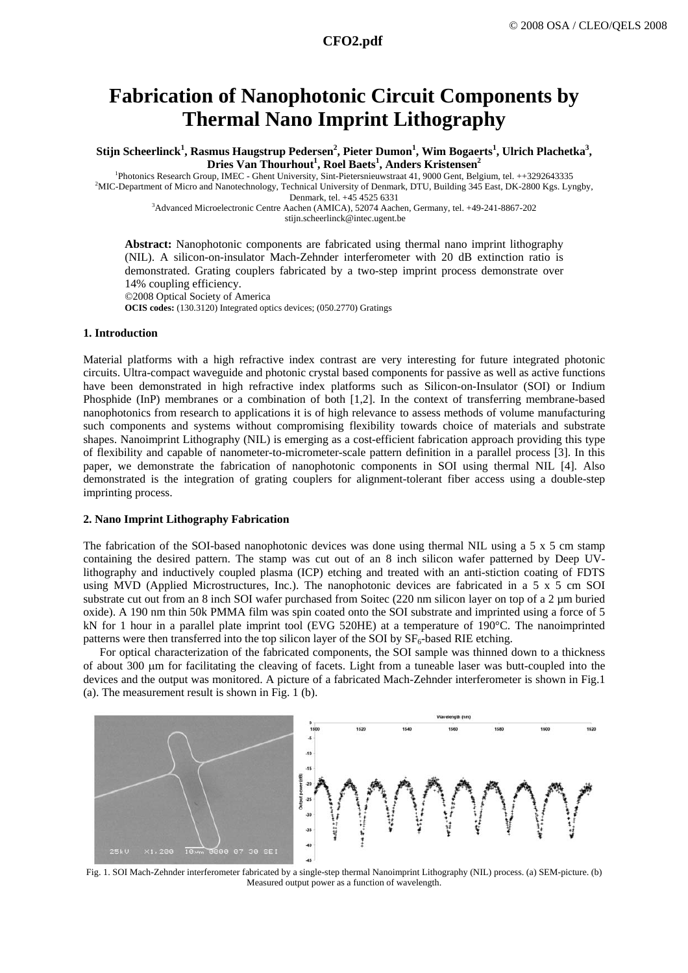## **Fabrication of Nanophotonic Circuit Components by Thermal Nano Imprint Lithography**

 $\text{Stijn Scheerlinck}^1\text{, Rasmus Haugstrup Pedersen}^2\text{, Pieter Dumon}^1\text{, Wim Bogaerts}^1\text{, Ulrich Plachetka}^3\text{,}$ **Dries Van Thourhout 1 , Roel Baets1 , Anders Kristensen2**

<sup>1</sup>Photonics Research Group, IMEC - Ghent University, Sint-Pietersnieuwstraat 41, 9000 Gent, Belgium, tel. ++3292643335<sup>2</sup>MC Department of Microsoft New 2000 Keep June <sup>2</sup>MIC-Department of Micro and Nanotechnology, Technical University of Denmark, DTU, Building 345 East, DK-2800 Kgs. Lyngby,

Denmark, tel. +45 4525 6331 3 Advanced Microelectronic Centre Aachen (AMICA), 52074 Aachen, Germany, tel. +49-241-8867-202 stijn.scheerlinck@intec.ugent.be

**Abstract:** [Nanophotonic components are fabricated using thermal nano imprint lithography](http://www.mne05.org/) [\(NIL\). A silicon-on-insulator Mach-Zehnder interferometer with 20 dB extinction](http://www.mne05.org/) ratio is [demonstrated. Grating couplers fabricated by a two-step imprint](http://www.mne05.org/) process demonstrate over [14% coupling efficiency.](http://www.mne05.org/) 

©2008 Optical Society of America

**OCIS codes:** (130.3120) Integrated optics devices; (050.2770) Gratings

#### **1. Introduction**

Material platforms with a high refractive index contrast are very interesting for future integrated photonic circuits. Ultra-compact waveguide and photonic crystal based components for passive as well as active functions have been demonstrated in high refractive index platforms such as Silicon-on-Insulator (SOI) or Indium Phosphide (InP) membranes or a combination of both [1,2]. In the context of transferring membrane-based nanophotonics from research to applications it is of high relevance to assess methods of volume manufacturing such components and systems without compromising flexibility towards choice of materials and substrate shapes. Nanoimprint Lithography (NIL) is emerging as a cost-efficient fabrication approach providing this type of flexibility and capable of nanometer-to-micrometer-scale pattern definition in a parallel process [3]. In this paper, we demonstrate the fabrication of nanophotonic components in SOI using thermal NIL [4]. Also demonstrated is the integration of grating couplers for alignment-tolerant fiber access using a double-step imprinting process.

#### **2. Nano Imprint Lithography Fabrication**

The fabrication of the SOI-based nanophotonic devices was done using thermal NIL using a 5 x 5 cm stamp containing the desired pattern. The stamp was cut out of an 8 inch silicon wafer patterned by Deep UVlithography and inductively coupled plasma (ICP) etching and treated with an anti-stiction coating of FDTS using MVD (Applied Microstructures, Inc.). The nanophotonic devices are fabricated in a 5 x 5 cm SOI substrate cut out from an 8 inch SOI wafer purchased from Soitec (220 nm silicon layer on top of a 2 µm buried oxide). A 190 nm thin 50k PMMA film was spin coated onto the SOI substrate and imprinted using a force of 5 kN for 1 hour in a parallel plate imprint tool (EVG 520HE) at a temperature of 190°C. The nanoimprinted patterns were then transferred into the top silicon layer of the SOI by  $SF<sub>6</sub>$ -based RIE etching.

For optical characterization of the fabricated components, the SOI sample was thinned down to a thickness of about 300 µm for facilitating the cleaving of facets. Light from a tuneable laser was butt-coupled into the devices and the output was monitored. A picture of a fabricated Mach-Zehnder interferometer is shown in Fig.1 (a). The measurement result is shown in Fig. 1 (b).



Fig. 1. SOI Mach-Zehnder interferometer fabricated by a single-step thermal Nanoimprint Lithography (NIL) process. (a) SEM-picture. (b) Measured output power as a function of wavelength.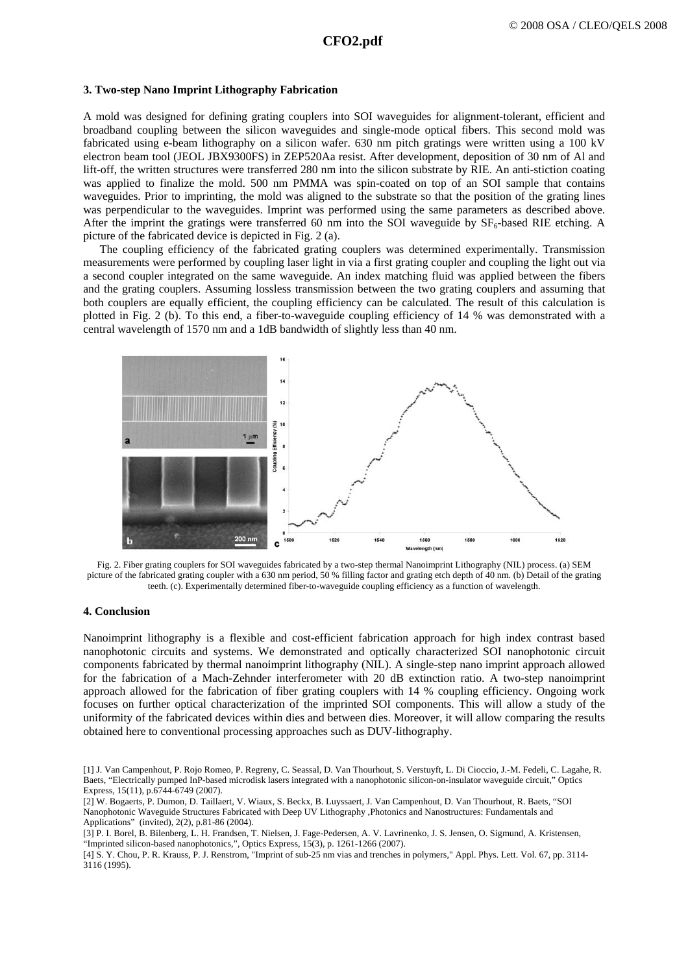#### **3. Two-step Nano Imprint Lithography Fabrication**

A mold was designed for defining grating couplers into SOI waveguides for alignment-tolerant, efficient and broadband coupling between the silicon waveguides and single-mode optical fibers. This second mold was fabricated using e-beam lithography on a silicon wafer. 630 nm pitch gratings were written using a 100 kV electron beam tool (JEOL JBX9300FS) in ZEP520Aa resist. After development, deposition of 30 nm of Al and lift-off, the written structures were transferred 280 nm into the silicon substrate by RIE. An anti-stiction coating was applied to finalize the mold. 500 nm PMMA was spin-coated on top of an SOI sample that contains waveguides. Prior to imprinting, the mold was aligned to the substrate so that the position of the grating lines was perpendicular to the waveguides. Imprint was performed using the same parameters as described above. After the imprint the gratings were transferred 60 nm into the SOI waveguide by  $SF<sub>6</sub>$ -based RIE etching. A picture of the fabricated device is depicted in Fig. 2 (a).

The coupling efficiency of the fabricated grating couplers was determined experimentally. Transmission measurements were performed by coupling laser light in via a first grating coupler and coupling the light out via a second coupler integrated on the same waveguide. An index matching fluid was applied between the fibers and the grating couplers. Assuming lossless transmission between the two grating couplers and assuming that both couplers are equally efficient, the coupling efficiency can be calculated. The result of this calculation is plotted in Fig. 2 (b). To this end, a fiber-to-waveguide coupling efficiency of 14 % was demonstrated with a central wavelength of 1570 nm and a 1dB bandwidth of slightly less than 40 nm.



Fig. 2. Fiber grating couplers for SOI waveguides fabricated by a two-step thermal Nanoimprint Lithography (NIL) process. (a) SEM picture of the fabricated grating coupler with a 630 nm period, 50 % filling factor and grating etch depth of 40 nm. (b) Detail of the grating teeth. (c). Experimentally determined fiber-to-waveguide coupling efficiency as a function of wavelength.

### **4. Conclusion**

Nanoimprint lithography is a flexible and cost-efficient fabrication approach for high index contrast based nanophotonic circuits and systems. We demonstrated and optically characterized SOI nanophotonic circuit components fabricated by thermal nanoimprint lithography (NIL). A single-step nano imprint approach allowed for the fabrication of a Mach-Zehnder interferometer with 20 dB extinction ratio. A two-step nanoimprint approach allowed for the fabrication of fiber grating couplers with 14 % coupling efficiency. Ongoing work focuses on further optical characterization of the imprinted SOI components. This will allow a study of the uniformity of the fabricated devices within dies and between dies. Moreover, it will allow comparing the results obtained here to conventional processing approaches such as DUV-lithography.

[4] S. Y. Chou, P. R. Krauss, P. J. Renstrom, "Imprint of sub-25 nm vias and trenches in polymers," Appl. Phys. Lett. Vol. 67, pp. 3114- 3116 (1995).

<sup>[1]</sup> J. Van Campenhout, P. Rojo Romeo, P. Regreny, C. Seassal, D. Van Thourhout, S. Verstuyft, L. Di Cioccio, J.-M. Fedeli, C. Lagahe, R. Baets, "Electrically pumped InP-based microdisk lasers integrated with a nanophotonic silicon-on-insulator waveguide circuit," Optics Express, 15(11), p.6744-6749 (2007).

<sup>[2]</sup> W. Bogaerts, P. Dumon, D. Taillaert, V. Wiaux, S. Beckx, B. Luyssaert, J. Van Campenhout, D. Van Thourhout, R. Baets, "SOI Nanophotonic Waveguide Structures Fabricated with Deep UV Lithography ,Photonics and Nanostructures: Fundamentals and Applications" (invited), 2(2), p.81-86 (2004).

<sup>[3]</sup> P. I. Borel, B. Bilenberg, L. H. Frandsen, T. Nielsen, J. Fage-Pedersen, A. V. Lavrinenko, J. S. Jensen, O. Sigmund, A. Kristensen, "Imprinted silicon-based nanophotonics,", Optics Express, 15(3), p. 1261-1266 (2007).